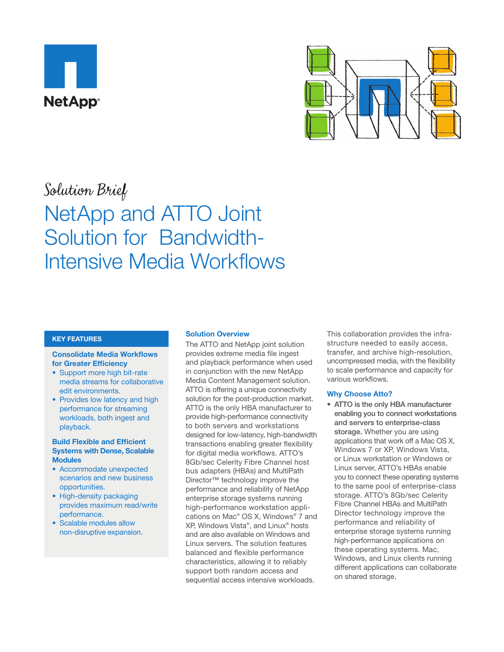



# Solution Brief NetApp and ATTO Joint Solution for Bandwidth-Intensive Media Workflows

# **KEY FEATURES**

### **Consolidate Media Workflows for Greater Efficiency**

- Support more high bit-rate media streams for collaborative edit environments.
- Provides low latency and high performance for streaming workloads, both ingest and playback.

# **Build Flexible and Efficient Systems with Dense, Scalable Modules**

- Accommodate unexpected scenarios and new business opportunities.
- High-density packaging provides maximum read/write performance.
- Scalable modules allow non-disruptive expansion.

# **Solution Overview**

The ATTO and NetApp joint solution provides extreme media file ingest and playback performance when used in conjunction with the new NetApp Media Content Management solution. ATTO is offering a unique connectivity solution for the post-production market. ATTO is the only HBA manufacturer to provide high-performance connectivity to both servers and workstations designed for low-latency, high-bandwidth transactions enabling greater flexibility for digital media workflows. ATTO's 8Gb/sec Celerity Fibre Channel host bus adapters (HBAs) and MultiPath Director™ technology improve the performance and reliability of NetApp enterprise storage systems running high-performance workstation applications on Mac® OS X, Windows® 7 and XP, Windows Vista®, and Linux® hosts and are also available on Windows and Linux servers. The solution features balanced and flexible performance characteristics, allowing it to reliably support both random access and sequential access intensive workloads.

This collaboration provides the infrastructure needed to easily access, transfer, and archive high-resolution, uncompressed media, with the flexibility to scale performance and capacity for various workflows.

# **Why Choose Atto?**

• ATTO is the only HBA manufacturer enabling you to connect workstations and servers to enterprise-class storage. Whether you are using applications that work off a Mac OS X, Windows 7 or XP, Windows Vista, or Linux workstation or Windows or Linux server, ATTO's HBAs enable you to connect these operating systems to the same pool of enterprise-class storage. ATTO's 8Gb/sec Celerity Fibre Channel HBAs and MultiPath Director technology improve the performance and reliability of enterprise storage systems running high-performance applications on these operating systems. Mac, Windows, and Linux clients running different applications can collaborate on shared storage.